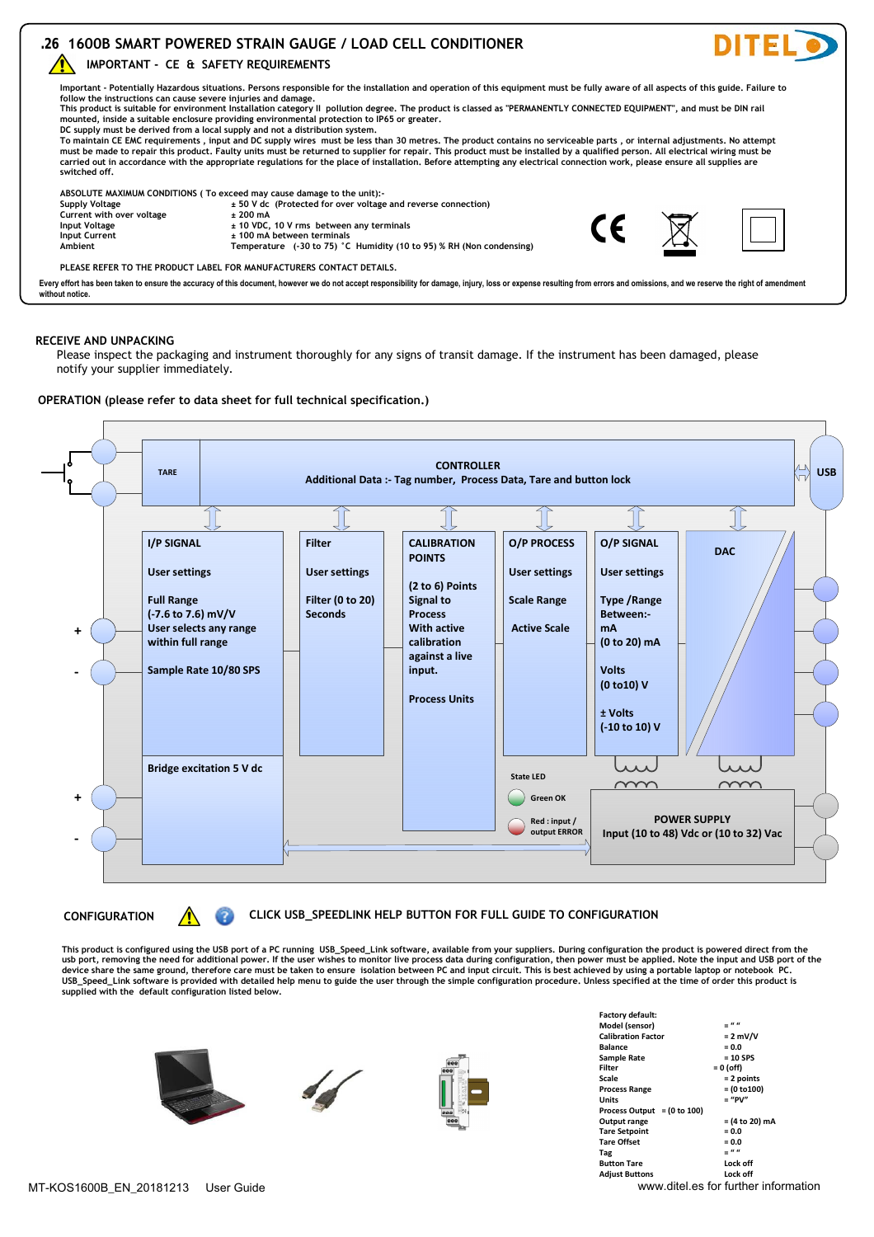## **.26 1600B SMART POWERED STRAIN GAUGE / LOAD CELL CONDITIONER**

**IMPORTANT - CE & SAFETY REQUIREMENTS** 



This product is suitable for environment Installation category II pollution degree. The product is classed as "PERMANENTLY CONNECTED EQUIPMENT", and must be DIN rail<br>mounted, inside a suitable enclosure providing environm **DC supply must be derived from a local supply and not a distribution system.**

To maintain CE EMC requirements , input and DC supply wires must be less than 30 metres. The product contains no serviceable parts , or internal adjustments. No attempt<br>must be made to repair this product. Faulty units mus **carried out in accordance with the appropriate regulations for the place of installation. Before attempting any electrical connection work, please ensure all supplies are switched off.**

ABSOLUTE MAXIMUM CONDITIONS ( To exceed may cause damage to the unit):-<br>Supply Voltage and reverse connection) **± 50 V** dc (Protected for over voltage and reverse connection)

**Current with over voltage**  $\qquad 200 \text{ mA}$ <br> **Current with over voltage**  $\qquad 200 \text{ mA}$ <br> **to 10 VDC. Input Voltage 10 VDC, 10 V rms between any terminals**<br> **Input Current the Current the Current the Current the Current the Current the Current th Input Current**<br> **Ambient Example 20 to 25 and 100 mA between terminals**<br> **1 Temperature** (-30 to 75) °C

**Ambient Temperature (-30 to 75) °C Humidity (10 to 95) % RH (Non condensing)**

**PLEASE REFER TO THE PRODUCT LABEL FOR MANUFACTURERS CONTACT DETAILS.**

Every effort has been taken to ensure the accuracy of this document, however we do not accept responsibility for damage, injury, loss or expense resulting from errors and omissions, and we reserve the right of amendment **without notice.**

### **RECEIVE AND UNPACKING**

Please inspect the packaging and instrument thoroughly for any signs of transit damage. If the instrument has been damaged, please notify your supplier immediately.

#### **OPERATION (please refer to data sheet for full technical specification.)**



**CONFIGURATION CLICK USB\_SPEEDLINK HELP BUTTON FOR FULL GUIDE TO CONFIGURATION**

This product is configured using the USB port of a PC running USB\_Speed\_Link software, available from your suppliers. During configuration the product is powered direct from the<br>usb port, removing the need for additional p **device share the same ground, therefore care must be taken to ensure isolation between PC and input circuit. This is best achieved by using a portable laptop or notebook PC. USB\_Speed\_Link software is provided with detailed help menu to guide the user through the simple configuration procedure. Unless specified at the time of order this product is supplied with the default configuration listed below.**







| <b>Factory default:</b>                |                                                     |
|----------------------------------------|-----------------------------------------------------|
| Model (sensor)                         | $=$ ""                                              |
| <b>Calibration Factor</b>              | $= 2$ mV/V                                          |
| <b>Balance</b>                         | $= 0.0$                                             |
| Sample Rate                            | $= 10$ SPS                                          |
| Filter                                 | $= 0$ (off)                                         |
| Scale                                  | $= 2$ points                                        |
| <b>Process Range</b>                   | $= (0 to 100)$                                      |
| Units                                  | $=$ "PV"                                            |
| Process Output = $(0 \text{ to } 100)$ |                                                     |
| Output range                           | = (4 to 20) mA                                      |
| <b>Tare Setpoint</b>                   | $= 0.0$                                             |
| <b>Tare Offset</b>                     | $= 0.0$                                             |
| Tag                                    | - " "                                               |
| <b>Button Tare</b>                     | Lock off                                            |
| <b>Adjust Buttons</b>                  | Lock off                                            |
|                                        | بمثلهم ومعروبة فسأستعمل والمستقيد والمعانات وووودوه |

**DITEL** 

CE